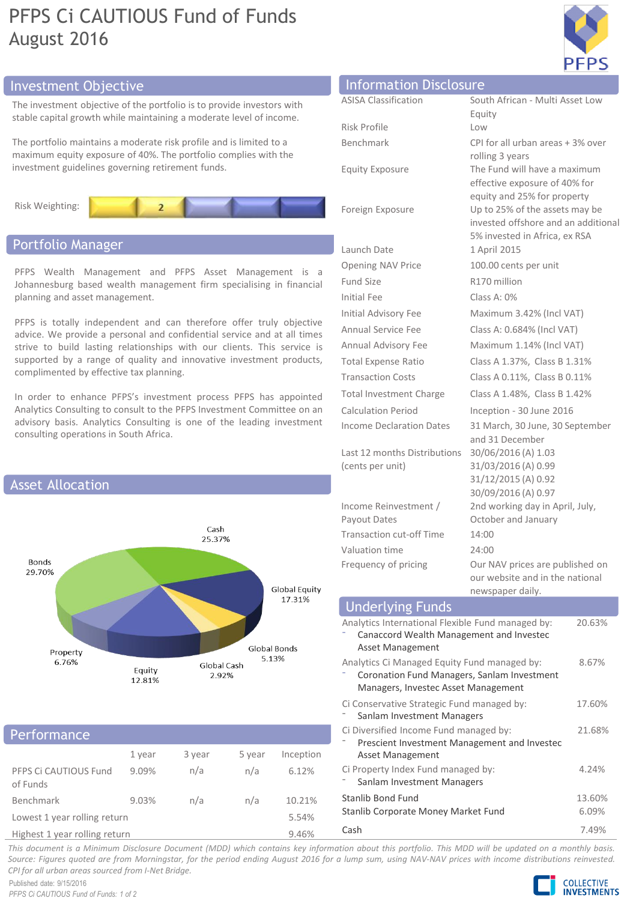# PFPS Ci CAUTIOUS Fund of Funds August 2016



# Investment Objective

The investment objective of the portfolio is to provide investors with stable capital growth while maintaining a moderate level of income.

The portfolio maintains a moderate risk profile and is limited to a maximum equity exposure of 40%. The portfolio complies with the investment guidelines governing retirement funds.



# Portfolio Manager

PFPS Wealth Management and PFPS Asset Management is a Johannesburg based wealth management firm specialising in financial planning and asset management.

PFPS is totally independent and can therefore offer truly objective advice. We provide a personal and confidential service and at all times strive to build lasting relationships with our clients. This service is supported by a range of quality and innovative investment products, complimented by effective tax planning.

In order to enhance PFPS's investment process PFPS has appointed Analytics Consulting to consult to the PFPS Investment Committee on an advisory basis. Analytics Consulting is one of the leading investment consulting operations in South Africa.



# Performance

|                                                           | 1 year | 3 year | 5 year | Inception |
|-----------------------------------------------------------|--------|--------|--------|-----------|
| PFPS Ci CAUTIOUS Fund<br>of Funds                         | 9.09%  | n/a    | n/a    | 6.12%     |
| Benchmark                                                 | 9.03%  | n/a    | n/a    | 10.21%    |
| Lowest 1 year rolling return                              |        |        |        | 5.54%     |
| at the late and of the second and Hitler as a second com- |        |        |        | 0.001     |

Highest 1 year rolling return 9.46%

| <b>Information Disclosure</b> |                                     |
|-------------------------------|-------------------------------------|
|                               |                                     |
| <b>ASISA Classification</b>   | South African - Multi Asset Low     |
|                               | Equity                              |
| Risk Profile                  | Low                                 |
| Benchmark                     | CPI for all urban areas + 3% over   |
|                               | rolling 3 years                     |
| <b>Equity Exposure</b>        | The Fund will have a maximum        |
|                               | effective exposure of 40% for       |
|                               | equity and 25% for property         |
| Foreign Exposure              | Up to 25% of the assets may be      |
|                               | invested offshore and an additional |
|                               | 5% invested in Africa, ex RSA       |
| Launch Date                   | 1 April 2015                        |
| Opening NAV Price             | 100.00 cents per unit               |
| Fund Size                     | R170 million                        |
| Initial Fee                   | Class A: $0\%$                      |

Last 12 months Distributions 30/06/2016 (A) 1.03 (cents per unit)

Income Reinvestment / Payout Dates Transaction cut-off Time 14:00 Valuation time 24:00

Initial Advisory Fee Maximum 3.42% (Incl VAT) Annual Service Fee Class A: 0.684% (Incl VAT) Annual Advisory Fee Maximum 1.14% (Incl VAT) Total Expense Ratio Class A 1.37%, Class B 1.31% Transaction Costs Class A 0.11%, Class B 0.11% Total Investment Charge Class A 1.48%, Class B 1.42% Calculation Period Inception - 30 June 2016 Income Declaration Dates 31 March, 30 June, 30 September and 31 December 31/03/2016 (A) 0.99 31/12/2015 (A) 0.92 30/09/2016 (A) 0.97 2nd working day in April, July, October and January

Frequency of pricing **Our NAV** prices are published on our website and in the national newspaper daily.

| <b>Underlying Funds</b>                                                                                                            |                 |
|------------------------------------------------------------------------------------------------------------------------------------|-----------------|
| Analytics International Flexible Fund managed by:<br>Canaccord Wealth Management and Investec<br>Asset Management                  | 20.63%          |
| Analytics Ci Managed Equity Fund managed by:<br>Coronation Fund Managers, Sanlam Investment<br>Managers, Investec Asset Management | 8.67%           |
| Ci Conservative Strategic Fund managed by:<br>Sanlam Investment Managers                                                           | 17.60%          |
| Ci Diversified Income Fund managed by:<br>Prescient Investment Management and Investec<br>Asset Management                         | 21.68%          |
| Ci Property Index Fund managed by:<br>Sanlam Investment Managers                                                                   | 4.24%           |
| Stanlib Bond Fund<br>Stanlib Corporate Money Market Fund                                                                           | 13.60%<br>6.09% |
| Cash                                                                                                                               | 7.49%           |

This document is a Minimum Disclosure Document (MDD) which contains key information about this portfolio. This MDD will be updated on a monthly basis. Source: Figures quoted are from Morningstar, for the period ending August 2016 for a lump sum, using NAV-NAV prices with income distributions reinvested. *CPI for all urban areas sourced from I-Net Bridge.*

Published date: 9/15/2016 *PFPS Ci CAUTIOUS Fund of Funds: 1 of 2*